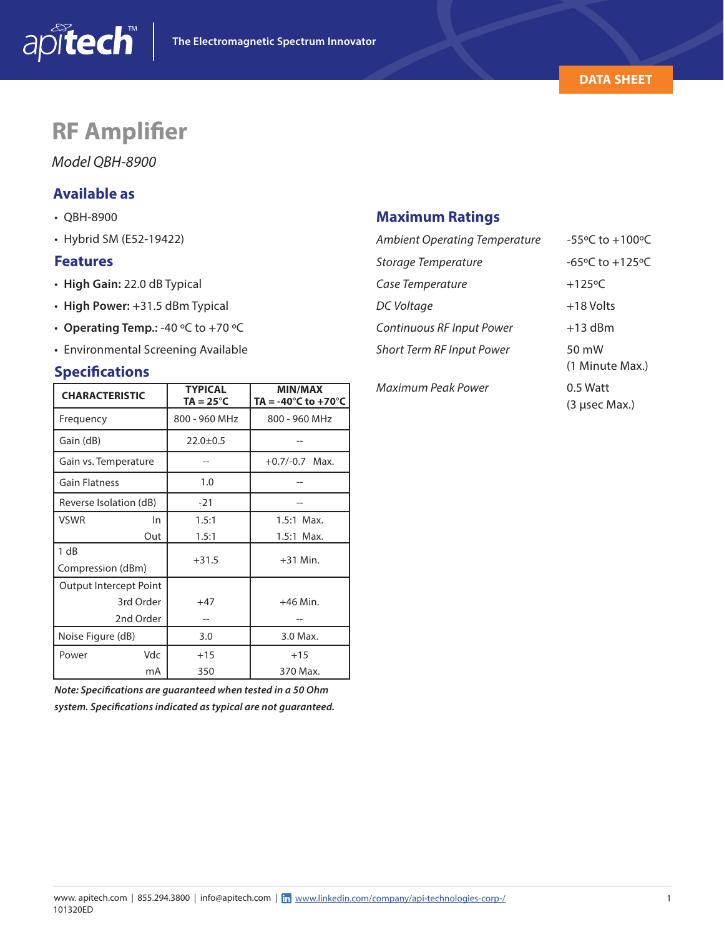

(3 µsec Max.)

# **RF Amplifier**

## *Model QBH-8900*

## **Available as**

- QBH-8900
- Hybrid SM (E52-19422)

#### **Features**

- **High Gain:** 22.0 dB Typical
- **High Power:** +31.5 dBm Typical
- **Operating Temp.:** -40 ºC to +70 ºC
- Environmental Screening Available

### **Specifications**

| <b>CHARACTERISTIC</b>  | <b>TYPICAL</b><br>$TA = 25^{\circ}C$ | <b>MIN/MAX</b><br>TA = -40 $^{\circ}$ C to +70 $^{\circ}$ C |  |  |
|------------------------|--------------------------------------|-------------------------------------------------------------|--|--|
| Frequency              | 800 - 960 MHz                        | 800 - 960 MHz                                               |  |  |
| Gain (dB)              | $22.0 \pm 0.5$                       |                                                             |  |  |
| Gain vs. Temperature   |                                      | $+0.7/-0.7$ Max.                                            |  |  |
| <b>Gain Flatness</b>   | 1.0                                  |                                                             |  |  |
| Reverse Isolation (dB) | $-21$                                |                                                             |  |  |
| VSWR<br>In             | 1.5:1                                | $1.5:1$ Max.                                                |  |  |
| Out                    | 1.5:1                                | $1.5:1$ Max.                                                |  |  |
| 1 dB                   | $+31.5$                              | $+31$ Min.                                                  |  |  |
| Compression (dBm)      |                                      |                                                             |  |  |
| Output Intercept Point |                                      |                                                             |  |  |
| 3rd Order              | $+47$                                | $+46$ Min.                                                  |  |  |
| 2nd Order              |                                      |                                                             |  |  |
| Noise Figure (dB)      | 3.0                                  | 3.0 Max.                                                    |  |  |
| Vdc<br>Power           | $+15$                                | $+15$                                                       |  |  |
| mA                     | 350                                  | 370 Max.                                                    |  |  |

*Note: Specifications are guaranteed when tested in a 50 Ohm system. Specifications indicated as typical are not guaranteed.*

## **Maximum Ratings**

| <b>Ambient Operating Temperature</b> | -55°C to $+100$ °C                  |  |  |  |
|--------------------------------------|-------------------------------------|--|--|--|
| Storage Temperature                  | $-65^{\circ}$ C to $+125^{\circ}$ C |  |  |  |
| Case Temperature                     | $+125$ °C                           |  |  |  |
| DC Voltage                           | $+18$ Volts                         |  |  |  |
| Continuous RF Input Power            | $+13$ dBm                           |  |  |  |
| <b>Short Term RF Input Power</b>     | 50 mW<br>(1 Minute Max.)            |  |  |  |
|                                      |                                     |  |  |  |

*Maximum Peak Power* 0.5 Watt